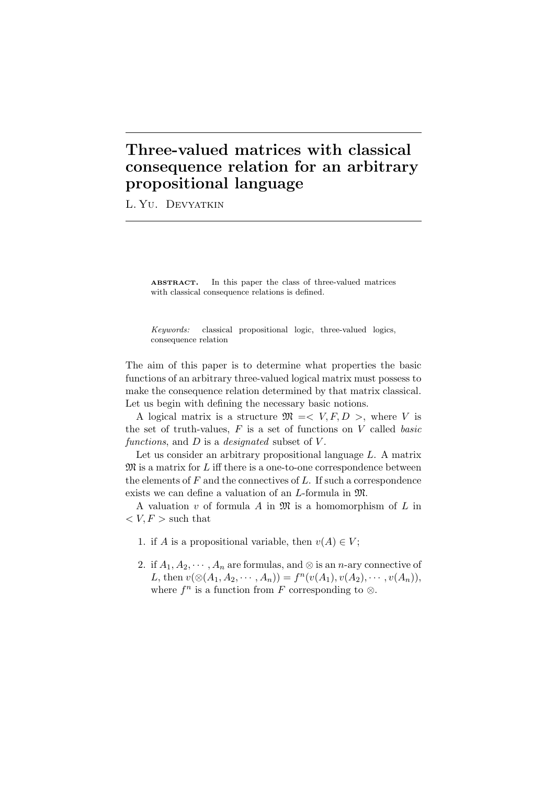## **Three-valued matrices with classical consequence relation for an arbitrary propositional language**

L. Yu. Devyatkin

ABSTRACT. In this paper the class of three-valued matrices with classical consequence relations is defined.

*Keywords:* classical propositional logic, three-valued logics, consequence relation

The aim of this paper is to determine what properties the basic functions of an arbitrary three-valued logical matrix must possess to make the consequence relation determined by that matrix classical. Let us begin with defining the necessary basic notions.

A logical matrix is a structure  $\mathfrak{M} \leq V, F, D >$ , where *V* is the set of truth-values, *F* is a set of functions on *V* called *basic functions*, and *D* is a *designated* subset of *V* .

Let us consider an arbitrary propositional language *L*. A matrix M is a matrix for *L* iff there is a one-to-one correspondence between the elements of *F* and the connectives of *L*. If such a correspondence exists we can define a valuation of an *L*-formula in M.

A valuation *v* of formula *A* in M is a homomorphism of *L* in  $\langle V, F \rangle$  such that

- 1. if *A* is a propositional variable, then  $v(A) \in V$ ;
- 2. if  $A_1, A_2, \cdots, A_n$  are formulas, and  $\otimes$  is an *n*-ary connective of *L*, then  $v(\otimes(A_1, A_2, \cdots, A_n)) = f^n(v(A_1), v(A_2), \cdots, v(A_n)),$ where  $f^n$  is a function from  $F$  corresponding to  $\otimes$ .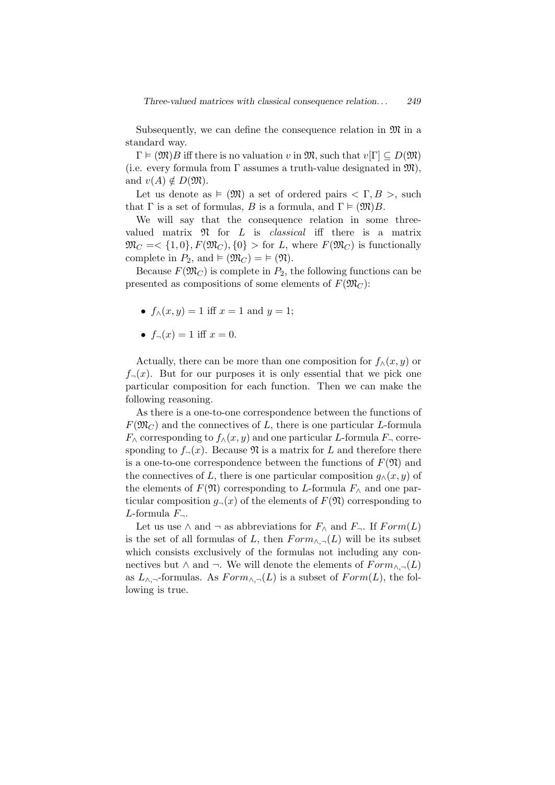Subsequently, we can define the consequence relation in  $\mathfrak{M}$  in a standard way.

 $\Gamma \models (\mathfrak{M})B$  iff there is no valuation *v* in  $\mathfrak{M}$ , such that  $v[\Gamma] \subset D(\mathfrak{M})$ (i.e. every formula from  $\Gamma$  assumes a truth-value designated in  $\mathfrak{M}$ ), and  $v(A) \notin D(\mathfrak{M})$ .

Let us denote as  $\models$  (M) a set of ordered pairs  $\lt \Gamma, B >$ , such that  $\Gamma$  is a set of formulas, *B* is a formula, and  $\Gamma \models (\mathfrak{M})B$ .

We will say that the consequence relation in some threevalued matrix N for *L* is *classical* iff there is a matrix  $\mathfrak{M}_C = \langle 1,0 \rangle, F(\mathfrak{M}_C), \{0\} > \text{for } L$ , where  $F(\mathfrak{M}_C)$  is functionally complete in  $P_2$ , and  $\models (\mathfrak{M}_C) = \models (\mathfrak{N}).$ 

Because  $F(\mathfrak{M}_C)$  is complete in  $P_2$ , the following functions can be presented as compositions of some elements of  $F(\mathfrak{M}_C)$ :

- $f_0(x, y) = 1$  iff  $x = 1$  and  $y = 1$ ;
- $f_{\neg}(x) = 1$  iff  $x = 0$ .

Actually, there can be more than one composition for  $f_\wedge(x, y)$  or  $f_{\neg}(x)$ . But for our purposes it is only essential that we pick one particular composition for each function. Then we can make the following reasoning.

As there is a one-to-one correspondence between the functions of  $F(\mathfrak{M}_C)$  and the connectives of *L*, there is one particular *L*-formula  $F_{\wedge}$  corresponding to  $f_{\wedge}(x, y)$  and one particular *L*-formula  $F_{\neg}$  corresponding to  $f_{\neg}(x)$ . Because  $\Re$  is a matrix for *L* and therefore there is a one-to-one correspondence between the functions of  $F(\mathfrak{N})$  and the connectives of *L*, there is one particular composition  $q_\wedge(x, y)$  of the elements of  $F(\mathfrak{N})$  corresponding to *L*-formula  $F_\wedge$  and one particular composition  $g_{\neg}(x)$  of the elements of  $F(\mathfrak{N})$  corresponding to *L*-formula *F¬*.

Let us use  $\land$  and  $\neg$  as abbreviations for  $F_{\land}$  and  $F_{\neg}$ . If  $Form(L)$ is the set of all formulas of *L*, then  $Form_{\wedge,\neg}(L)$  will be its subset which consists exclusively of the formulas not including any connectives but *∧* and ¬. We will denote the elements of  $Form_{∧,¬}(L)$ as  $L_{\wedge,\neg}$ -formulas. As  $Form_{\wedge,\neg}(L)$  is a subset of  $Form(L)$ , the following is true.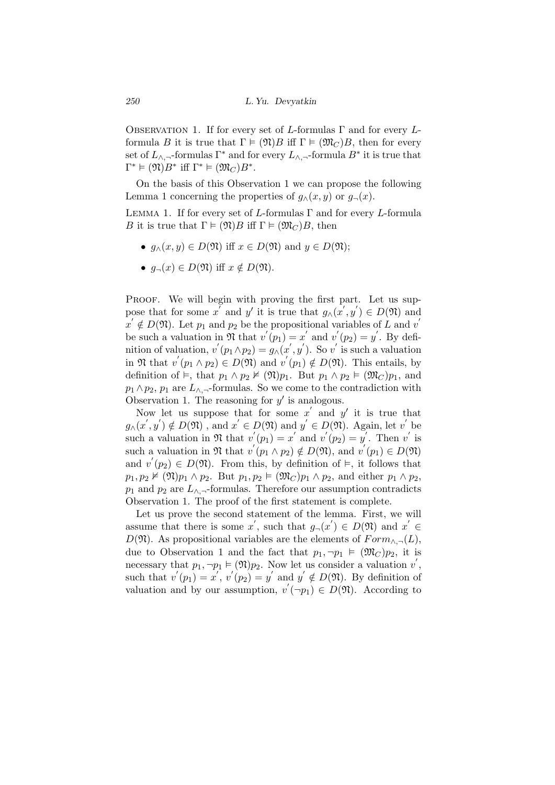Observation 1. If for every set of *L*-formulas Γ and for every *L*formula *B* it is true that  $\Gamma \models (\mathfrak{N})B$  iff  $\Gamma \models (\mathfrak{M})B$ , then for every set of  $L_{\wedge, \neg}$ -formulas  $\Gamma^*$  and for every  $L_{\wedge, \neg}$ -formula  $B^*$  it is true that  $\Gamma^* \models (\mathfrak{N})B^*$  iff  $\Gamma^* \models (\mathfrak{M}_C)B^*$ .

On the basis of this Observation 1 we can propose the following Lemma 1 concerning the properties of  $g_\wedge(x, y)$  or  $g_\neg(x)$ .

Lemma 1. If for every set of *L*-formulas Γ and for every *L*-formula *B* it is true that  $\Gamma \models (\mathfrak{N})B$  iff  $\Gamma \models (\mathfrak{M})B$ , then

- *•*  $q_∧(x, y) \in D(\mathfrak{N})$  iff  $x \in D(\mathfrak{N})$  and  $y \in D(\mathfrak{N})$ ;
- *•*  $q_{\neg}(x) \in D(\mathfrak{N})$  iff  $x \notin D(\mathfrak{N})$ .

PROOF. We will begin with proving the first part. Let us suppose that for some *x'* and *y'* it is true that  $g_{\wedge}(x', y') \in D(\mathfrak{N})$  and  $x' \notin D(\mathfrak{N})$ . Let  $p_1$  and  $p_2$  be the propositional variables of *L* and *v* be such a valuation in  $\mathfrak{N}$  that  $v'(p_1) = x'$  and  $v'(p_2) = y'$ . By definition of valuation,  $v'(p_1 \wedge p_2) = g_{\wedge}(x', y')$ . So  $v'$  is such a valuation in  $\mathfrak{N}$  that  $v'(p_1 \wedge p_2) \in D(\mathfrak{N})$  and  $v'(p_1) \notin D(\mathfrak{N})$ . This entails, by definition of  $\models$ , that  $p_1 \wedge p_2 \nvDash (\mathfrak{N})p_1$ . But  $p_1 \wedge p_2 \nvDash (\mathfrak{M}_C)p_1$ , and  $p_1 \wedge p_2$ ,  $p_1$  are  $L_{\wedge}$ , formulas. So we come to the contradiction with Observation 1. The reasoning for  $y'$  is analogous.

Now let us suppose that for some  $x'$  and  $y'$  it is true that  $g_{\wedge}(x', y') \notin D(\mathfrak{N})$ , and  $x' \in D(\mathfrak{N})$  and  $y' \in D(\mathfrak{N})$ . Again, let *v*<sup>'</sup> be such a valuation in  $\mathfrak{N}$  that  $v'(p_1) = x'$  and  $v'(p_2) = y'$ . Then  $v'$  is such a valuation in  $\mathfrak{N}$  that  $v'(p_1 \wedge p_2) \notin D(\mathfrak{N})$ , and  $v'(p_1) \in D(\mathfrak{N})$ and  $v'(p_2) \in D(\mathfrak{N})$ . From this, by definition of  $\vDash$ , it follows that  $p_1, p_2 \nvDash (\mathfrak{N})p_1 \land p_2$ . But  $p_1, p_2 \vDash (\mathfrak{M}_C)p_1 \land p_2$ , and either  $p_1 \land p_2$ , *p*<sub>1</sub> and *p*<sub>2</sub> are  $L_{\Lambda}$ <sup>-</sup>*formulas.* Therefore our assumption contradicts Observation 1. The proof of the first statement is complete.

Let us prove the second statement of the lemma. First, we will assume that there is some  $x'$ , such that  $g_{\neg}(x') \in D(\mathfrak{N})$  and  $x' \in$ *D*( $\mathfrak{N}$ ). As propositional variables are the elements of  $Form_{\Lambda,\neg}(L)$ , due to Observation 1 and the fact that  $p_1, \neg p_1 \models (\mathfrak{M}_C) p_2$ , it is necessary that  $p_1, \neg p_1 \models (\mathfrak{N})p_2$ . Now let us consider a valuation  $v'$ , such that  $v'(p_1) = x'$ ,  $v'(p_2) = y'$  and  $y' \notin D(\mathfrak{N})$ . By definition of valuation and by our assumption,  $v'(\neg p_1) \in D(\mathfrak{N})$ . According to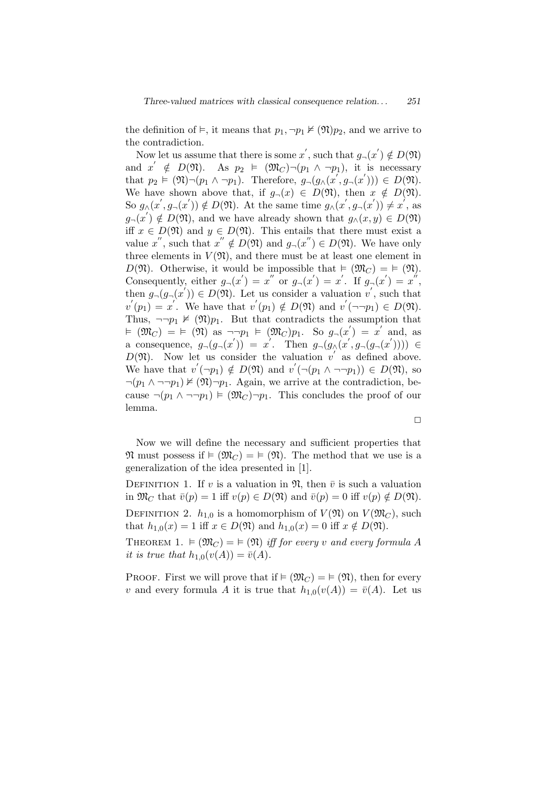the definition of  $\models$ , it means that  $p_1, \neg p_1 \not\models (\mathfrak{N})p_2$ , and we arrive to the contradiction.

Now let us assume that there is some  $x'$ , such that  $g_{\neg}(x') \notin D(\mathfrak{N})$ and  $x' \notin D(\mathfrak{N})$ . As  $p_2 \models (\mathfrak{M}_C) \neg (p_1 \land \neg p_1)$ , it is necessary that  $p_2 \models (\mathfrak{N}) \neg (p_1 \land \neg p_1)$ . Therefore,  $g_{\neg}(g_{\land}(x', g_{\neg}(x'))) \in D(\mathfrak{N})$ . We have shown above that, if  $g_{\neg}(x) \in D(\mathfrak{N})$ , then  $x \notin D(\mathfrak{N})$ . So  $g_{\wedge}(x',g_{\neg}(x')) \notin D(\mathfrak{N})$ . At the same time  $g_{\wedge}(x',g_{\neg}(x')) \neq x'$ , as  $g_{\neg}(x') \notin D(\mathfrak{N})$ , and we have already shown that  $g_{\wedge}(x, y) \in D(\mathfrak{N})$ iff  $x \in D(\mathfrak{N})$  and  $y \in D(\mathfrak{N})$ . This entails that there must exist a value *x*<sup>"</sup>, such that  $x'' \notin D(\mathfrak{N})$  and  $g_{\neg}(x'') \in D(\mathfrak{N})$ . We have only three elements in  $V(\mathfrak{N})$ , and there must be at least one element in  $D(\mathfrak{N})$ . Otherwise, it would be impossible that  $\models (\mathfrak{M}_C) = \models (\mathfrak{N})$ . Consequently, either  $g_{\neg}(x') = x''$  or  $g_{\neg}(x') = x'$ . If  $g_{\neg}(x') = x''$ , then  $g_{\neg}(g_{\neg}(x')) \in D(\mathfrak{N})$ . Let us consider a valuation  $v'$ , such that  $v'(p_1) = x'$ . We have that  $v'(p_1) \notin D(\mathfrak{N})$  and  $v'(\neg \neg p_1) \in D(\mathfrak{N})$ . Thus,  $\neg$  $\neg$ *p*<sub>1</sub>  $\not\vDash$   $(\mathfrak{N})p_1$ . But that contradicts the assumption that  $\forall x \in (M_C) = \models (M)$  as  $\neg\neg p_1 \models (M_C)p_1$ . So  $g_{\neg}(x') = x'$  and, as a consequence,  $g_{\neg}(g_{\neg}(x')) = x'$ . Then  $g_{\neg}(g_{\wedge}(x',g_{\neg}(g_{\neg}(x')))) \in$  $D(\mathfrak{N})$ . Now let us consider the valuation *v* as defined above. We have that  $v'(\neg p_1) \notin D(\mathfrak{N})$  and  $v'(\neg (p_1 \land \neg \neg p_1)) \in D(\mathfrak{N})$ , so  $\neg(p_1 \land \neg\neg p_1) \not\vDash (\mathfrak{N}) \neg p_1$ . Again, we arrive at the contradiction, because  $\neg(p_1 \land \neg \neg p_1) \models (\mathfrak{M}_C) \neg p_1$ . This concludes the proof of our lemma.

 $\Box$ 

Now we will define the necessary and sufficient properties that  $\mathfrak{N}$  must possess if  $\models (\mathfrak{M}_C) = \models (\mathfrak{N})$ . The method that we use is a generalization of the idea presented in [1].

DEFINITION 1. If *v* is a valuation in  $\mathfrak{N}$ , then  $\bar{v}$  is such a valuation in  $\mathfrak{M}_C$  that  $\bar{v}(p) = 1$  iff  $v(p) \in D(\mathfrak{N})$  and  $\bar{v}(p) = 0$  iff  $v(p) \notin D(\mathfrak{N})$ . DEFINITION 2.  $h_{1,0}$  is a homomorphism of  $V(\mathfrak{N})$  on  $V(\mathfrak{M}_C)$ , such that  $h_{1,0}(x) = 1$  iff  $x \in D(\mathfrak{N})$  and  $h_{1,0}(x) = 0$  iff  $x \notin D(\mathfrak{N})$ .

THEOREM 1.  $\vDash (\mathfrak{M}_C) = \vDash (\mathfrak{N})$  *iff for every v* and every formula A *it is true that*  $h_{1,0}(v(A)) = \bar{v}(A)$ *.* 

**PROOF.** First we will prove that if  $\models (\mathfrak{M}_C) = \models (\mathfrak{N})$ , then for every *v* and every formula *A* it is true that  $h_{1,0}(v(A)) = \overline{v}(A)$ . Let us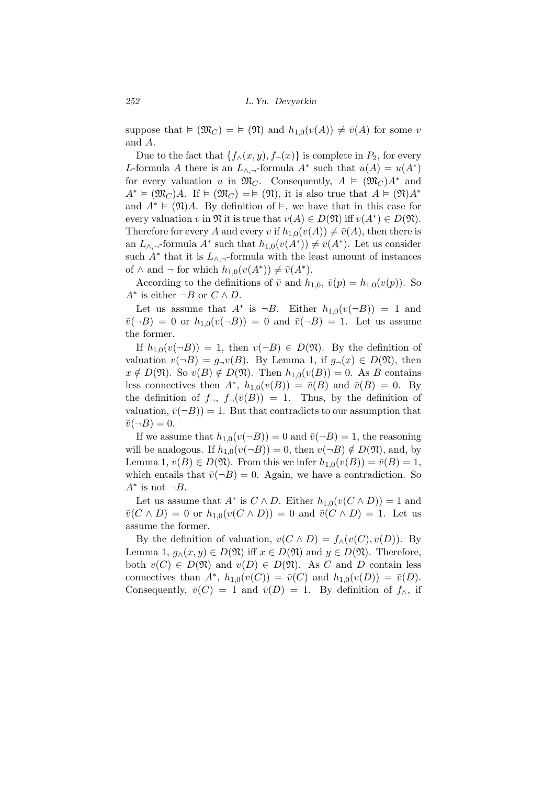suppose that  $\models (\mathfrak{M}_C) = \models (\mathfrak{N})$  and  $h_{1,0}(v(A)) \neq \overline{v}(A)$  for some *v* and *A*.

Due to the fact that  $\{f_{\land}(x, y), f_{\neg}(x)\}$  is complete in  $P_2$ , for every *L*-formula *A* there is an  $L_{\wedge, \neg}$ -formula  $A^*$  such that  $u(A) = u(A^*)$ for every valuation *u* in  $\mathfrak{M}_C$ . Consequently,  $A \models (\mathfrak{M}_C)A^*$  and  $A^* \models (\mathfrak{M}_C)A$ . If  $\models (\mathfrak{M}_C) = \models (\mathfrak{N})$ , it is also true that  $A \models (\mathfrak{N})A^*$ and  $A^* \models (\mathfrak{N})A$ . By definition of  $\models$ , we have that in this case for every valuation *v* in  $\mathfrak{N}$  it is true that  $v(A) \in D(\mathfrak{N})$  iff  $v(A^*) \in D(\mathfrak{N})$ . Therefore for every *A* and every *v* if  $h_{1,0}(v(A)) \neq \overline{v}(A)$ , then there is an *L*<sub>*∧*</sub>, $\neg$ -formula *A*<sup>\*</sup> such that  $h_{1,0}(v(A^*)) \neq \overline{v}(A^*)$ . Let us consider such  $A^*$  that it is  $L_{\wedge, \neg}$ -formula with the least amount of instances of  $\wedge$  and  $\neg$  for which  $h_{1,0}(v(A^*)) \neq \overline{v}(A^*)$ .

According to the definitions of  $\bar{v}$  and  $h_{1,0}$ ,  $\bar{v}(p) = h_{1,0}(v(p))$ . So  $A^*$  is either  $\neg B$  or  $C \wedge D$ .

Let us assume that  $A^*$  is  $\neg B$ . Either  $h_{1,0}(v(\neg B)) = 1$  and  $\bar{v}(\neg B) = 0$  or  $h_{1,0}(v(\neg B)) = 0$  and  $\bar{v}(\neg B) = 1$ . Let us assume the former.

If  $h_{1,0}(v(\neg B)) = 1$ , then  $v(\neg B) \in D(\mathfrak{N})$ . By the definition of valuation  $v(\neg B) = g_\neg v(B)$ . By Lemma 1, if  $g_\neg(x) \in D(\mathfrak{N})$ , then  $x \notin D(\mathfrak{N})$ . So  $v(B) \notin D(\mathfrak{N})$ . Then  $h_{1,0}(v(B)) = 0$ . As *B* contains less connectives then  $A^*$ ,  $h_{1,0}(v(B)) = \overline{v}(B)$  and  $\overline{v}(B) = 0$ . By the definition of  $f_\neg$ ,  $f_\neg(\bar{v}(B)) = 1$ . Thus, by the definition of valuation,  $\bar{v}(\neg B)$ ) = 1. But that contradicts to our assumption that  $\bar{v}(\neg B) = 0.$ 

If we assume that  $h_{1,0}(v(\neg B)) = 0$  and  $\bar{v}(\neg B) = 1$ , the reasoning will be analogous. If  $h_{1,0}(v(\neg B)) = 0$ , then  $v(\neg B) \notin D(\mathfrak{N})$ , and, by Lemma 1,  $v(B) \in D(\mathfrak{N})$ . From this we infer  $h_{1,0}(v(B)) = \overline{v}(B) = 1$ , which entails that  $\bar{v}(\neg B) = 0$ . Again, we have a contradiction. So  $A^*$  is not  $\neg B$ .

Let us assume that  $A^*$  is  $C \wedge D$ . Either  $h_{1,0}(v(C \wedge D)) = 1$  and  $\bar{v}(C \wedge D) = 0$  or  $h_{1,0}(v(C \wedge D)) = 0$  and  $\bar{v}(C \wedge D) = 1$ . Let us assume the former.

By the definition of valuation,  $v(C \wedge D) = f_{\wedge}(v(C), v(D))$ . By Lemma 1,  $g_{\land}(x, y) \in D(\mathfrak{N})$  iff  $x \in D(\mathfrak{N})$  and  $y \in D(\mathfrak{N})$ . Therefore, both  $v(C) \in D(\mathfrak{N})$  and  $v(D) \in D(\mathfrak{N})$ . As *C* and *D* contain less connectives than  $A^*$ ,  $h_{1,0}(v(C)) = \bar{v}(C)$  and  $h_{1,0}(v(D)) = \bar{v}(D)$ . Consequently,  $\bar{v}(C) = 1$  and  $\bar{v}(D) = 1$ . By definition of  $f_{\wedge}$ , if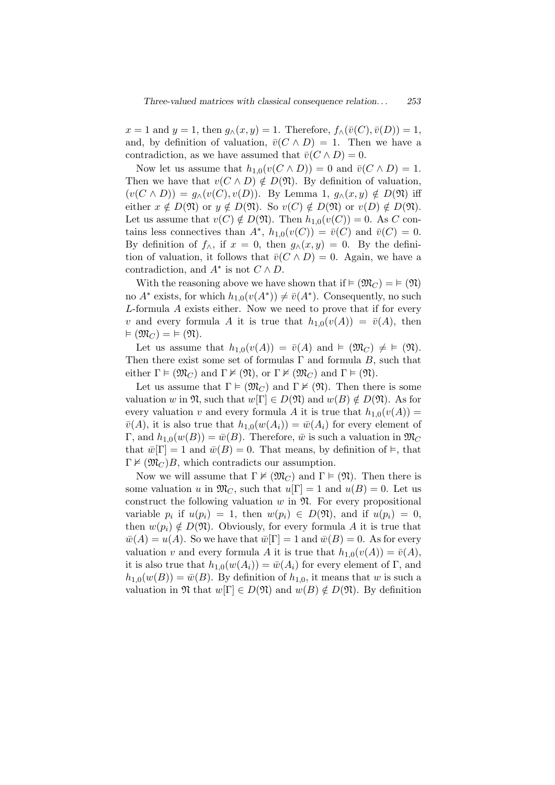$x = 1$  and  $y = 1$ , then  $g_\wedge(x, y) = 1$ . Therefore,  $f_\wedge(\overline{v}(C), \overline{v}(D)) = 1$ , and, by definition of valuation,  $\bar{v}(C \wedge D) = 1$ . Then we have a contradiction, as we have assumed that  $\bar{v}(C \wedge D) = 0$ .

Now let us assume that  $h_{1,0}(v(C \wedge D)) = 0$  and  $\bar{v}(C \wedge D) = 1$ . Then we have that  $v(C \wedge D) \notin D(\mathfrak{N})$ . By definition of valuation,  $(v(C \wedge D)) = g_{\wedge}(v(C), v(D)).$  By Lemma 1,  $g_{\wedge}(x, y) \notin D(\mathfrak{N})$  iff either  $x \notin D(\mathfrak{N})$  or  $y \notin D(\mathfrak{N})$ . So  $v(C) \notin D(\mathfrak{N})$  or  $v(D) \notin D(\mathfrak{N})$ . Let us assume that  $v(C) \notin D(\mathfrak{N})$ . Then  $h_{1,0}(v(C)) = 0$ . As *C* contains less connectives than  $A^*$ ,  $h_{1,0}(v(C)) = \overline{v}(C)$  and  $\overline{v}(C) = 0$ . By definition of  $f_\wedge$ , if  $x = 0$ , then  $g_\wedge(x, y) = 0$ . By the definition of valuation, it follows that  $\bar{v}(C \wedge D) = 0$ . Again, we have a contradiction, and  $A^*$  is not  $C \wedge D$ .

With the reasoning above we have shown that if  $\models (\mathfrak{M}_C) = \models (\mathfrak{N})$ no  $A^*$  exists, for which  $h_{1,0}(v(A^*)) \neq \overline{v}(A^*)$ . Consequently, no such *L*-formula *A* exists either. Now we need to prove that if for every *v* and every formula *A* it is true that  $h_{1,0}(v(A)) = \overline{v}(A)$ , then  $\models (\mathfrak{M}_C) = \models (\mathfrak{N}).$ 

Let us assume that  $h_{1,0}(v(A)) = \overline{v}(A)$  and  $\models (\mathfrak{M}_C) \neq \models (\mathfrak{N}).$ Then there exist some set of formulas  $\Gamma$  and formula *B*, such that either  $\Gamma \models (\mathfrak{M}_C)$  and  $\Gamma \not\vDash (\mathfrak{N})$ , or  $\Gamma \not\vDash (\mathfrak{M}_C)$  and  $\Gamma \models (\mathfrak{N})$ .

Let us assume that  $\Gamma \models (\mathfrak{M}_C)$  and  $\Gamma \not\vDash (\mathfrak{N})$ . Then there is some valuation *w* in  $\mathfrak{N}$ , such that  $w[\Gamma] \in D(\mathfrak{N})$  and  $w(B) \notin D(\mathfrak{N})$ . As for every valuation *v* and every formula *A* it is true that  $h_{1,0}(v(A)) =$  $\bar{v}(A)$ , it is also true that  $h_{1,0}(w(A_i)) = \bar{w}(A_i)$  for every element of  $\Gamma$ , and  $h_{1,0}(w(B)) = \bar{w}(B)$ . Therefore,  $\bar{w}$  is such a valuation in  $\mathfrak{M}_C$ that  $\bar{w}[\Gamma] = 1$  and  $\bar{w}(B) = 0$ . That means, by definition of  $\models$ , that  $\Gamma \nvDash (\mathfrak{M}_C)B$ , which contradicts our assumption.

Now we will assume that  $\Gamma \nvDash (\mathfrak{M}_C)$  and  $\Gamma \models (\mathfrak{N})$ . Then there is some valuation *u* in  $\mathfrak{M}_C$ , such that  $u[\Gamma] = 1$  and  $u(B) = 0$ . Let us construct the following valuation  $w$  in  $\mathfrak{N}$ . For every propositional variable  $p_i$  if  $u(p_i) = 1$ , then  $w(p_i) \in D(\mathfrak{N})$ , and if  $u(p_i) = 0$ , then  $w(p_i) \notin D(\mathfrak{N})$ . Obviously, for every formula *A* it is true that  $\bar{w}(A) = u(A)$ . So we have that  $\bar{w}[\Gamma] = 1$  and  $\bar{w}(B) = 0$ . As for every valuation *v* and every formula *A* it is true that  $h_{1,0}(v(A)) = \overline{v}(A)$ , it is also true that  $h_{1,0}(w(A_i)) = \overline{w}(A_i)$  for every element of Γ, and  $h_{1,0}(w(B)) = \bar{w}(B)$ . By definition of  $h_{1,0}$ , it means that *w* is such a valuation in  $\mathfrak{N}$  that  $w[\Gamma] \in D(\mathfrak{N})$  and  $w(B) \notin D(\mathfrak{N})$ . By definition